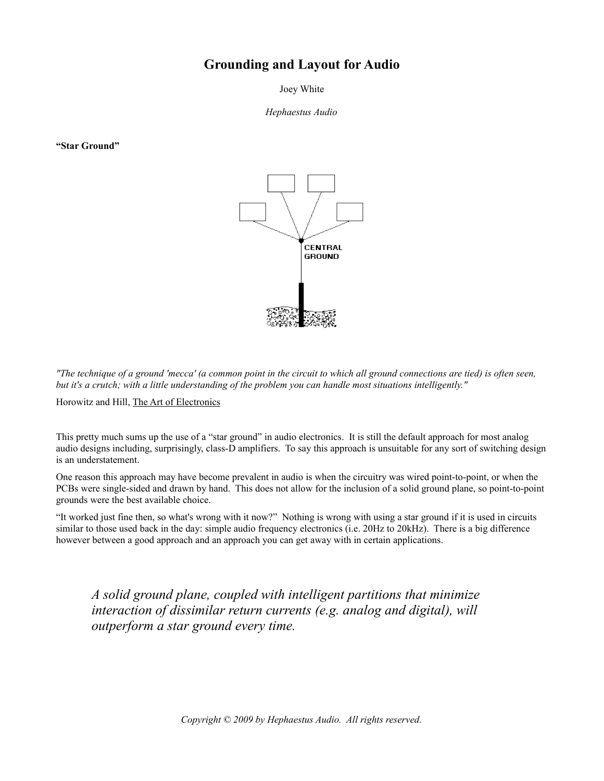# **Grounding and Layout for Audio**

Joey White

*Hephaestus Audio*

**"Star Ground"**



*"The technique of a ground 'mecca' (a common point in the circuit to which all ground connections are tied) is often seen, but it's a crutch; with a little understanding of the problem you can handle most situations intelligently."*

Horowitz and Hill, The Art of Electronics

This pretty much sums up the use of a "star ground" in audio electronics. It is still the default approach for most analog audio designs including, surprisingly, class-D amplifiers. To say this approach is unsuitable for any sort of switching design is an understatement.

One reason this approach may have become prevalent in audio is when the circuitry was wired point-to-point, or when the PCBs were single-sided and drawn by hand. This does not allow for the inclusion of a solid ground plane, so point-to-point grounds were the best available choice.

"It worked just fine then, so what's wrong with it now?" Nothing is wrong with using a star ground if it is used in circuits similar to those used back in the day: simple audio frequency electronics (i.e. 20Hz to 20kHz). There is a big difference however between a good approach and an approach you can get away with in certain applications.

*A solid ground plane, coupled with intelligent partitions that minimize interaction of dissimilar return currents (e.g. analog and digital), will outperform a star ground every time.*

*Copyright © 2009 by Hephaestus Audio. All rights reserved.*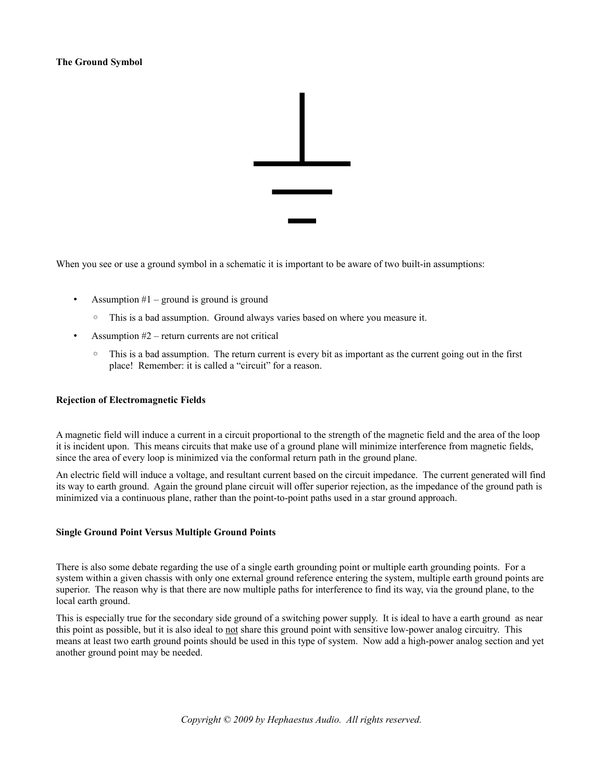## **The Ground Symbol**



When you see or use a ground symbol in a schematic it is important to be aware of two built-in assumptions:

- Assumption  $#1$  ground is ground is ground
	- This is a bad assumption. Ground always varies based on where you measure it.
- Assumption  $#2$  return currents are not critical
	- This is a bad assumption. The return current is every bit as important as the current going out in the first place! Remember: it is called a "circuit" for a reason.

#### **Rejection of Electromagnetic Fields**

A magnetic field will induce a current in a circuit proportional to the strength of the magnetic field and the area of the loop it is incident upon. This means circuits that make use of a ground plane will minimize interference from magnetic fields, since the area of every loop is minimized via the conformal return path in the ground plane.

An electric field will induce a voltage, and resultant current based on the circuit impedance. The current generated will find its way to earth ground. Again the ground plane circuit will offer superior rejection, as the impedance of the ground path is minimized via a continuous plane, rather than the point-to-point paths used in a star ground approach.

### **Single Ground Point Versus Multiple Ground Points**

There is also some debate regarding the use of a single earth grounding point or multiple earth grounding points. For a system within a given chassis with only one external ground reference entering the system, multiple earth ground points are superior. The reason why is that there are now multiple paths for interference to find its way, via the ground plane, to the local earth ground.

This is especially true for the secondary side ground of a switching power supply. It is ideal to have a earth ground as near this point as possible, but it is also ideal to not share this ground point with sensitive low-power analog circuitry. This means at least two earth ground points should be used in this type of system. Now add a high-power analog section and yet another ground point may be needed.